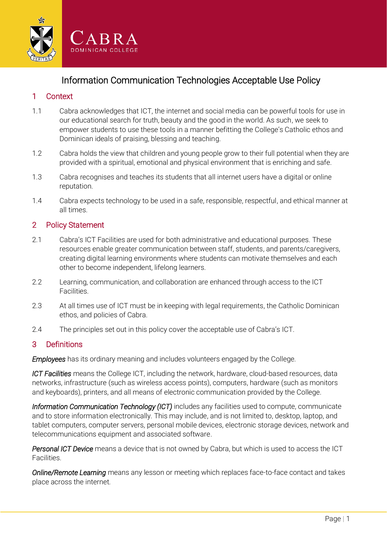

Information Communication Technologies Acceptable Use Policy

# 1 Context

- 1.1 Cabra acknowledges that ICT, the internet and social media can be powerful tools for use in our educational search for truth, beauty and the good in the world. As such, we seek to empower students to use these tools in a manner befitting the College's Catholic ethos and Dominican ideals of praising, blessing and teaching.
- 1.2 Cabra holds the view that children and young people grow to their full potential when they are provided with a spiritual, emotional and physical environment that is enriching and safe.
- 1.3 Cabra recognises and teaches its students that all internet users have a digital or online reputation.
- 1.4 Cabra expects technology to be used in a safe, responsible, respectful, and ethical manner at all times.

# 2 Policy Statement

- 2.1 Cabra's ICT Facilities are used for both administrative and educational purposes. These resources enable greater communication between staff, students, and parents/caregivers, creating digital learning environments where students can motivate themselves and each other to become independent, lifelong learners.
- 2.2 Learning, communication, and collaboration are enhanced through access to the ICT Facilities.
- 2.3 At all times use of ICT must be in keeping with legal requirements, the Catholic Dominican ethos, and policies of Cabra.
- 2.4 The principles set out in this policy cover the acceptable use of Cabra's ICT.

# 3 Definitions

*Employees* has its ordinary meaning and includes volunteers engaged by the College.

*ICT Facilities* means the College ICT, including the network, hardware, cloud-based resources, data networks, infrastructure (such as wireless access points), computers, hardware (such as monitors and keyboards), printers, and all means of electronic communication provided by the College.

*Information Communication Technology (ICT)* includes any facilities used to compute, communicate and to store information electronically. This may include, and is not limited to, desktop, laptop, and tablet computers, computer servers, personal mobile devices, electronic storage devices, network and telecommunications equipment and associated software.

*Personal ICT Device* means a device that is not owned by Cabra, but which is used to access the ICT Facilities.

*Online/Remote Learning* means any lesson or meeting which replaces face-to-face contact and takes place across the internet.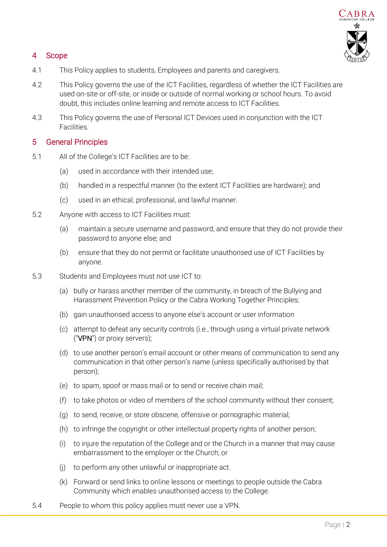# $A$  B R A

# 4 Scope

- 4.1 This Policy applies to students, Employees and parents and caregivers.
- 4.2 This Policy governs the use of the ICT Facilities, regardless of whether the ICT Facilities are used on-site or off-site, or inside or outside of normal working or school hours. To avoid doubt, this includes online learning and remote access to ICT Facilities.
- 4.3 This Policy governs the use of Personal ICT Devices used in conjunction with the ICT Facilities.

# 5 General Principles

- 5.1 All of the College's ICT Facilities are to be:
	- (a) used in accordance with their intended use;
	- (b) handled in a respectful manner (to the extent ICT Facilities are hardware); and
	- (c) used in an ethical, professional, and lawful manner.
- 5.2 Anyone with access to ICT Facilities must:
	- (a) maintain a secure username and password, and ensure that they do not provide their password to anyone else; and
	- (b) ensure that they do not permit or facilitate unauthorised use of ICT Facilities by anyone.
- 5.3 Students and Employees must not use ICT to:
	- (a) bully or harass another member of the community, in breach of the Bullying and Harassment Prevention Policy or the Cabra Working Together Principles;
	- (b) gain unauthorised access to anyone else's account or user information
	- (c) attempt to defeat any security controls (i.e., through using a virtual private network ("VPN") or proxy servers);
	- (d) to use another person's email account or other means of communication to send any communication in that other person's name (unless specifically authorised by that person);
	- (e) to spam, spoof or mass mail or to send or receive chain mail;
	- (f) to take photos or video of members of the school community without their consent;
	- (g) to send, receive, or store obscene, offensive or pornographic material;
	- (h) to infringe the copyright or other intellectual property rights of another person;
	- (i) to injure the reputation of the College and or the Church in a manner that may cause embarrassment to the employer or the Church; or
	- (j) to perform any other unlawful or inappropriate act.
	- (k) Forward or send links to online lessons or meetings to people outside the Cabra Community which enables unauthorised access to the College.
- 5.4 People to whom this policy applies must never use a VPN.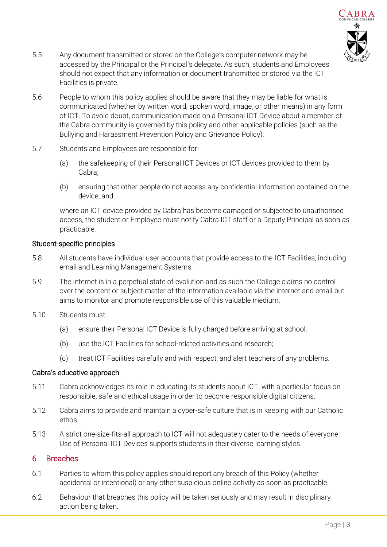

- 5.5 Any document transmitted or stored on the College's computer network may be accessed by the Principal or the Principal's delegate. As such, students and Employees should not expect that any information or document transmitted or stored via the ICT Facilities is private.
- 5.6 People to whom this policy applies should be aware that they may be liable for what is communicated (whether by written word, spoken word, image, or other means) in any form of ICT. To avoid doubt, communication made on a Personal ICT Device about a member of the Cabra community is governed by this policy and other applicable policies (such as the Bullying and Harassment Prevention Policy and Grievance Policy).
- 5.7 Students and Employees are responsible for:
	- (a) the safekeeping of their Personal ICT Devices or ICT devices provided to them by Cabra;
	- (b) ensuring that other people do not access any confidential information contained on the device, and

where an ICT device provided by Cabra has become damaged or subjected to unauthorised access, the student or Employee must notify Cabra ICT staff or a Deputy Principal as soon as practicable.

### Student-specific principles

- 5.8 All students have individual user accounts that provide access to the ICT Facilities, including email and Learning Management Systems.
- 5.9 The internet is in a perpetual state of evolution and as such the College claims no control over the content or subject matter of the information available via the internet and email but aims to monitor and promote responsible use of this valuable medium.
- 5.10 Students must:
	- (a) ensure their Personal ICT Device is fully charged before arriving at school;
	- (b) use the ICT Facilities for school-related activities and research;
	- (c) treat ICT Facilities carefully and with respect, and alert teachers of any problems.

# Cabra's educative approach

- 5.11 Cabra acknowledges its role in educating its students about ICT, with a particular focus on responsible, safe and ethical usage in order to become responsible digital citizens.
- 5.12 Cabra aims to provide and maintain a cyber-safe culture that is in keeping with our Catholic ethos.
- 5.13 A strict one-size-fits-all approach to ICT will not adequately cater to the needs of everyone. Use of Personal ICT Devices supports students in their diverse learning styles.

# 6 Breaches

- 6.1 Parties to whom this policy applies should report any breach of this Policy (whether accidental or intentional) or any other suspicious online activity as soon as practicable.
- 6.2 Behaviour that breaches this policy will be taken seriously and may result in disciplinary action being taken.